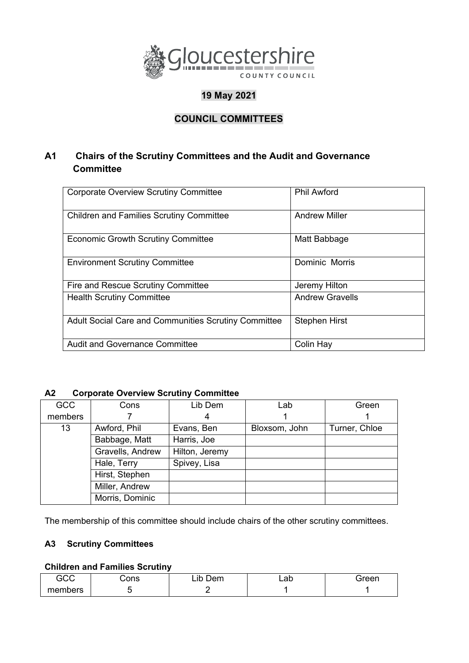

# **19 May 2021**

# **COUNCIL COMMITTEES**

## **A1 Chairs of the Scrutiny Committees and the Audit and Governance Committee**

| <b>Corporate Overview Scrutiny Committee</b>         | <b>Phil Awford</b>     |
|------------------------------------------------------|------------------------|
| <b>Children and Families Scrutiny Committee</b>      | <b>Andrew Miller</b>   |
| <b>Economic Growth Scrutiny Committee</b>            | Matt Babbage           |
| <b>Environment Scrutiny Committee</b>                | Dominic Morris         |
| Fire and Rescue Scrutiny Committee                   | Jeremy Hilton          |
| <b>Health Scrutiny Committee</b>                     | <b>Andrew Gravells</b> |
| Adult Social Care and Communities Scrutiny Committee | <b>Stephen Hirst</b>   |
| <b>Audit and Governance Committee</b>                | Colin Hay              |

### **A2 Corporate Overview Scrutiny Committee**

| <b>GCC</b> | Cons             | Lib Dem        | Lab           | Green         |
|------------|------------------|----------------|---------------|---------------|
| members    |                  | 4              |               |               |
| 13         | Awford, Phil     | Evans, Ben     | Bloxsom, John | Turner, Chloe |
|            | Babbage, Matt    | Harris, Joe    |               |               |
|            | Gravells, Andrew | Hilton, Jeremy |               |               |
|            | Hale, Terry      | Spivey, Lisa   |               |               |
|            | Hirst, Stephen   |                |               |               |
|            | Miller, Andrew   |                |               |               |
|            | Morris, Dominic  |                |               |               |

The membership of this committee should include chairs of the other scrutiny committees.

#### **A3 Scrutiny Committees**

### **Children and Families Scrutiny**

| GCC     | Cons | Lib<br>つem | oh<br>∟a∪ | Green |
|---------|------|------------|-----------|-------|
| members |      |            |           |       |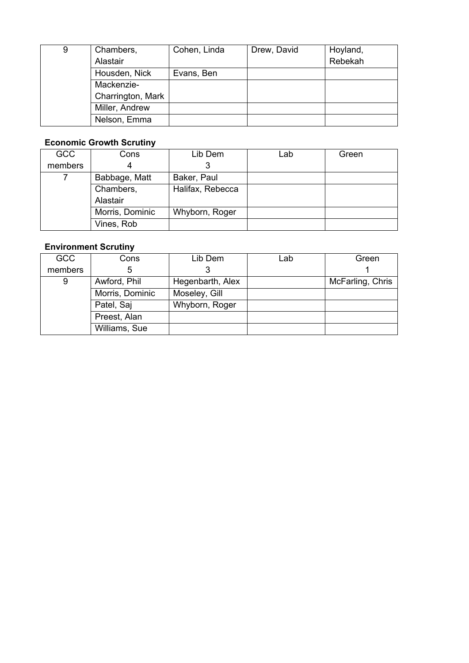| 9 | Chambers,         | Cohen, Linda | Drew, David | Hoyland, |
|---|-------------------|--------------|-------------|----------|
|   | Alastair          |              |             | Rebekah  |
|   | Housden, Nick     | Evans, Ben   |             |          |
|   | Mackenzie-        |              |             |          |
|   | Charrington, Mark |              |             |          |
|   | Miller, Andrew    |              |             |          |
|   | Nelson, Emma      |              |             |          |

### **Economic Growth Scrutiny**

| <b>GCC</b> | Cons            | Lib Dem          | Lab | Green |
|------------|-----------------|------------------|-----|-------|
| members    |                 |                  |     |       |
|            | Babbage, Matt   | Baker, Paul      |     |       |
|            | Chambers,       | Halifax, Rebecca |     |       |
|            | Alastair        |                  |     |       |
|            | Morris, Dominic | Whyborn, Roger   |     |       |
|            | Vines, Rob      |                  |     |       |

## **Environment Scrutiny**

| <b>GCC</b> | Cons            | Lib Dem          | Lab | Green            |
|------------|-----------------|------------------|-----|------------------|
| members    | 5               |                  |     |                  |
| 9          | Awford, Phil    | Hegenbarth, Alex |     | McFarling, Chris |
|            | Morris, Dominic | Moseley, Gill    |     |                  |
|            | Patel, Saj      | Whyborn, Roger   |     |                  |
|            | Preest, Alan    |                  |     |                  |
|            | Williams, Sue   |                  |     |                  |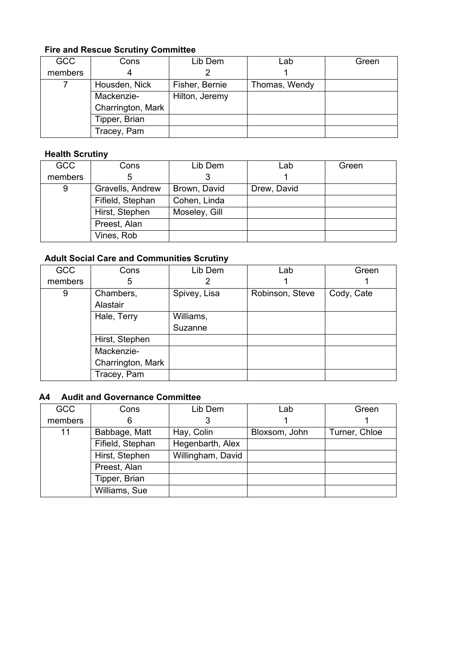# **Fire and Rescue Scrutiny Committee**

| <b>GCC</b> | Cons              | Lib Dem        | Lab           | Green |
|------------|-------------------|----------------|---------------|-------|
| members    | 4                 |                |               |       |
|            | Housden, Nick     | Fisher, Bernie | Thomas, Wendy |       |
|            | Mackenzie-        | Hilton, Jeremy |               |       |
|            | Charrington, Mark |                |               |       |
|            | Tipper, Brian     |                |               |       |
|            | Tracey, Pam       |                |               |       |

### **Health Scrutiny**

| <b>GCC</b> | Cons             | Lib Dem       | Lab         | Green |
|------------|------------------|---------------|-------------|-------|
| members    | 5                |               |             |       |
| 9          | Gravells, Andrew | Brown, David  | Drew, David |       |
|            | Fifield, Stephan | Cohen, Linda  |             |       |
|            | Hirst, Stephen   | Moseley, Gill |             |       |
|            | Preest, Alan     |               |             |       |
|            | Vines, Rob       |               |             |       |

## **Adult Social Care and Communities Scrutiny**

| <b>GCC</b> | Cons              | Lib Dem      | Lab             | Green      |
|------------|-------------------|--------------|-----------------|------------|
| members    | 5                 |              |                 |            |
| 9          | Chambers,         | Spivey, Lisa | Robinson, Steve | Cody, Cate |
|            | Alastair          |              |                 |            |
|            | Hale, Terry       | Williams,    |                 |            |
|            |                   | Suzanne      |                 |            |
|            | Hirst, Stephen    |              |                 |            |
|            | Mackenzie-        |              |                 |            |
|            | Charrington, Mark |              |                 |            |
|            | Tracey, Pam       |              |                 |            |

### **A4 Audit and Governance Committee**

| <b>GCC</b> | Cons             | Lib Dem           | Lab           | Green         |
|------------|------------------|-------------------|---------------|---------------|
| members    | 6                |                   |               |               |
| 11         | Babbage, Matt    | Hay, Colin        | Bloxsom, John | Turner, Chloe |
|            | Fifield, Stephan | Hegenbarth, Alex  |               |               |
|            | Hirst, Stephen   | Willingham, David |               |               |
|            | Preest, Alan     |                   |               |               |
|            | Tipper, Brian    |                   |               |               |
|            | Williams, Sue    |                   |               |               |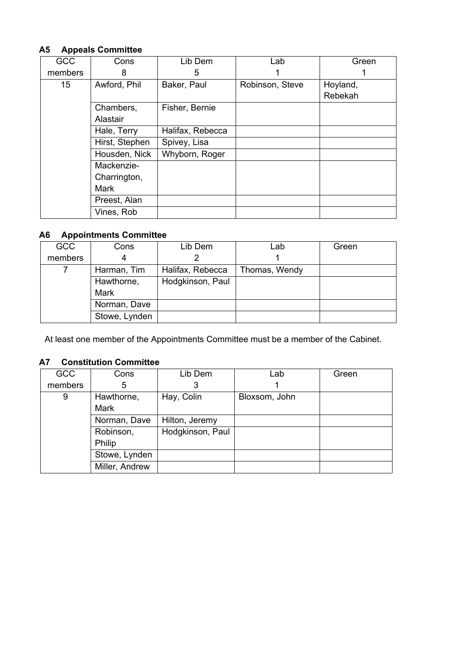#### **A5 Appeals Committee**

| <b>GCC</b>      | Cons           | Lib Dem          | Lab             | Green    |
|-----------------|----------------|------------------|-----------------|----------|
| members         | 8              | 5                |                 |          |
| 15 <sub>1</sub> | Awford, Phil   | Baker, Paul      | Robinson, Steve | Hoyland, |
|                 |                |                  |                 | Rebekah  |
|                 | Chambers,      | Fisher, Bernie   |                 |          |
|                 | Alastair       |                  |                 |          |
|                 | Hale, Terry    | Halifax, Rebecca |                 |          |
|                 | Hirst, Stephen | Spivey, Lisa     |                 |          |
|                 | Housden, Nick  | Whyborn, Roger   |                 |          |
|                 | Mackenzie-     |                  |                 |          |
|                 | Charrington,   |                  |                 |          |
|                 | Mark           |                  |                 |          |
|                 | Preest, Alan   |                  |                 |          |
|                 | Vines, Rob     |                  |                 |          |

#### **A6 Appointments Committee**

| <b>GCC</b> | Cons          | Lib Dem          | Lab           | Green |
|------------|---------------|------------------|---------------|-------|
| members    | 4             |                  |               |       |
|            | Harman, Tim   | Halifax, Rebecca | Thomas, Wendy |       |
|            | Hawthorne,    | Hodgkinson, Paul |               |       |
|            | <b>Mark</b>   |                  |               |       |
|            | Norman, Dave  |                  |               |       |
|            | Stowe, Lynden |                  |               |       |

At least one member of the Appointments Committee must be a member of the Cabinet.

#### **A7 Constitution Committee**

| <b>GCC</b>                                | Cons        | Lib Dem          | Lab           | Green |
|-------------------------------------------|-------------|------------------|---------------|-------|
| members                                   | 5           | 3                |               |       |
| 9                                         | Hawthorne,  | Hay, Colin       | Bloxsom, John |       |
|                                           | <b>Mark</b> |                  |               |       |
| Norman, Dave                              |             | Hilton, Jeremy   |               |       |
| Robinson,                                 |             | Hodgkinson, Paul |               |       |
| Philip<br>Stowe, Lynden<br>Miller, Andrew |             |                  |               |       |
|                                           |             |                  |               |       |
|                                           |             |                  |               |       |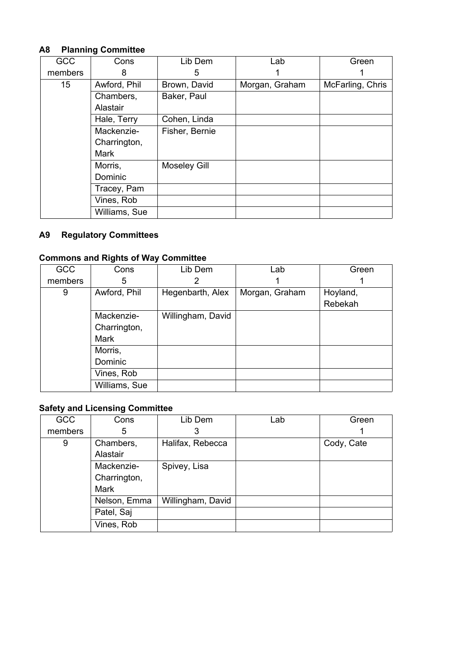## **A8 Planning Committee**

| <b>GCC</b>      | Cons          | Lib Dem             | Lab            | Green            |
|-----------------|---------------|---------------------|----------------|------------------|
| members         | 8             | 5                   |                |                  |
| 15 <sub>2</sub> | Awford, Phil  | Brown, David        | Morgan, Graham | McFarling, Chris |
|                 | Chambers,     | Baker, Paul         |                |                  |
|                 | Alastair      |                     |                |                  |
|                 | Hale, Terry   | Cohen, Linda        |                |                  |
|                 | Mackenzie-    | Fisher, Bernie      |                |                  |
|                 | Charrington,  |                     |                |                  |
|                 | Mark          |                     |                |                  |
|                 | Morris,       | <b>Moseley Gill</b> |                |                  |
|                 | Dominic       |                     |                |                  |
|                 | Tracey, Pam   |                     |                |                  |
|                 | Vines, Rob    |                     |                |                  |
|                 | Williams, Sue |                     |                |                  |

## **A9 Regulatory Committees**

# **Commons and Rights of Way Committee**

| <b>GCC</b> | Cons          | Lib Dem           | Lab            | Green    |
|------------|---------------|-------------------|----------------|----------|
| members    | 5             |                   |                |          |
| 9          | Awford, Phil  | Hegenbarth, Alex  | Morgan, Graham | Hoyland, |
|            |               |                   |                | Rebekah  |
|            | Mackenzie-    | Willingham, David |                |          |
|            | Charrington,  |                   |                |          |
|            | Mark          |                   |                |          |
|            | Morris,       |                   |                |          |
|            | Dominic       |                   |                |          |
|            | Vines, Rob    |                   |                |          |
|            | Williams, Sue |                   |                |          |

## **Safety and Licensing Committee**

| <b>GCC</b> | Cons         | Lib Dem           | Lab | Green      |
|------------|--------------|-------------------|-----|------------|
| members    | 5            |                   |     |            |
| 9          | Chambers,    | Halifax, Rebecca  |     | Cody, Cate |
|            | Alastair     |                   |     |            |
|            | Mackenzie-   | Spivey, Lisa      |     |            |
|            | Charrington, |                   |     |            |
|            | Mark         |                   |     |            |
|            | Nelson, Emma | Willingham, David |     |            |
|            | Patel, Saj   |                   |     |            |
|            | Vines, Rob   |                   |     |            |